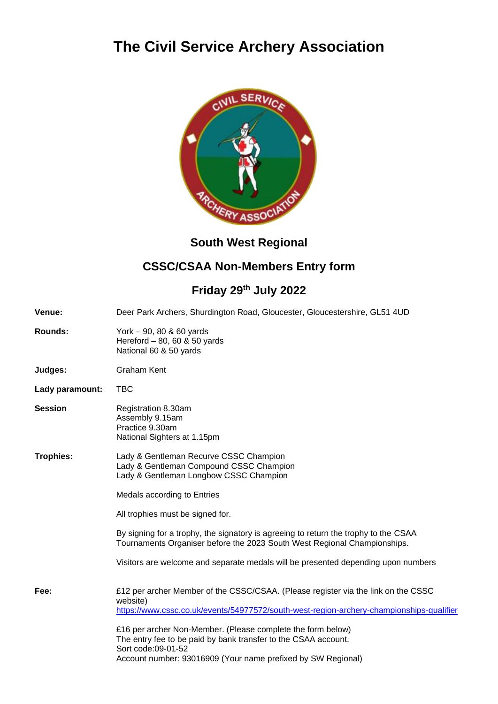# **The Civil Service Archery Association**



## **South West Regional**

## **CSSC/CSAA Non-Members Entry form**

## **Friday 29th July 2022**

| <b>Venue:</b>   | Deer Park Archers, Shurdington Road, Gloucester, Gloucestershire, GL51 4UD                                                                                                                                          |  |  |  |
|-----------------|---------------------------------------------------------------------------------------------------------------------------------------------------------------------------------------------------------------------|--|--|--|
| <b>Rounds:</b>  | York - 90, 80 & 60 yards<br>Hereford - 80, 60 & 50 yards<br>National 60 & 50 yards                                                                                                                                  |  |  |  |
| Judges:         | <b>Graham Kent</b>                                                                                                                                                                                                  |  |  |  |
| Lady paramount: | <b>TBC</b>                                                                                                                                                                                                          |  |  |  |
| <b>Session</b>  | Registration 8.30am<br>Assembly 9.15am<br>Practice 9.30am<br>National Sighters at 1.15pm                                                                                                                            |  |  |  |
| Trophies:       | Lady & Gentleman Recurve CSSC Champion<br>Lady & Gentleman Compound CSSC Champion<br>Lady & Gentleman Longbow CSSC Champion                                                                                         |  |  |  |
|                 | Medals according to Entries                                                                                                                                                                                         |  |  |  |
|                 | All trophies must be signed for.                                                                                                                                                                                    |  |  |  |
|                 | By signing for a trophy, the signatory is agreeing to return the trophy to the CSAA<br>Tournaments Organiser before the 2023 South West Regional Championships.                                                     |  |  |  |
|                 | Visitors are welcome and separate medals will be presented depending upon numbers                                                                                                                                   |  |  |  |
| Fee:            | £12 per archer Member of the CSSC/CSAA. (Please register via the link on the CSSC<br>website)<br>https://www.cssc.co.uk/events/54977572/south-west-region-archery-championships-qualifier                           |  |  |  |
|                 | £16 per archer Non-Member. (Please complete the form below)<br>The entry fee to be paid by bank transfer to the CSAA account.<br>Sort code:09-01-52<br>Account number: 93016909 (Your name prefixed by SW Regional) |  |  |  |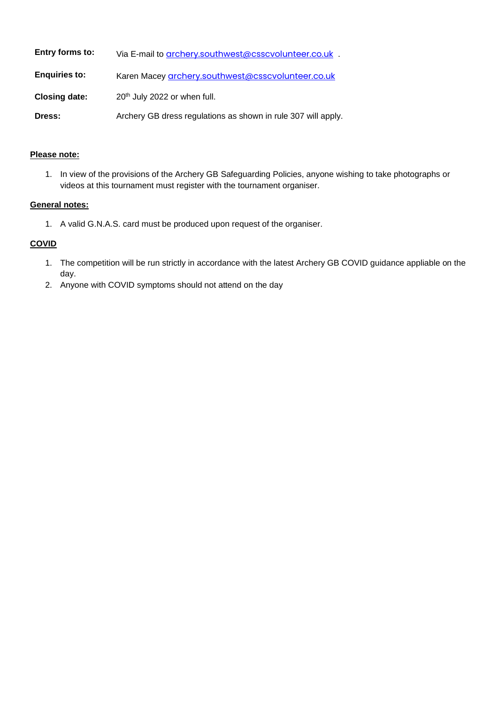| Entry forms to:      | Via E-mail to <b>grchery</b> southwest@csscvolunteer.co.uk .  |
|----------------------|---------------------------------------------------------------|
| <b>Enquiries to:</b> | Karen Macey grchery.southwest@csscvolunteer.co.uk             |
| <b>Closing date:</b> | 20 <sup>th</sup> July 2022 or when full.                      |
| Dress:               | Archery GB dress regulations as shown in rule 307 will apply. |

### **Please note:**

1. In view of the provisions of the Archery GB Safeguarding Policies, anyone wishing to take photographs or videos at this tournament must register with the tournament organiser.

#### **General notes:**

1. A valid G.N.A.S. card must be produced upon request of the organiser.

#### **COVID**

- 1. The competition will be run strictly in accordance with the latest Archery GB COVID guidance appliable on the day.
- 2. Anyone with COVID symptoms should not attend on the day